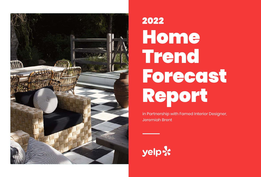

# 2022 Home Trend Forecast Report

in Partnership with Famed Interior Designer, Jeremiah Brent

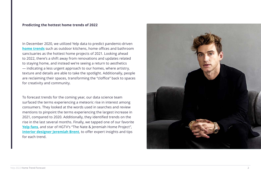#### **Predicting the hottest home trends of 2022**

In December 2020, we utilized Yelp data to predict pandemic-driven **[home trends](https://blog.yelp.com/wp-content/uploads/2020/12/Yelp2021HomeTrendForecast.pdf)** such as outdoor kitchens, home offices and bathroom sanctuaries as the hottest home projects of 2021. Looking ahead to 2022, there's a shift away from renovations and updates related to staying home, and instead we're seeing a return to aesthetics — indicating a less urgent approach to our homes, where artistry, texture and details are able to take the spotlight. Additionally, people are reclaiming their spaces, transforming the "cloffice" back to spaces for creativity and community.

To forecast trends for the coming year, our data science team surfaced the terms experiencing a meteoric rise in interest among consumers. They looked at the words used in searches and review mentions to pinpoint the terms experiencing the largest increase in 2021, compared to 2020. Additionally, they identified trends on the [rise in the last](https://www.architecturaldigest.com/story/diy-diary-jeremiah-brent-expert-advice-designing-deck) several months. Finally, we tapped one of our favorite **Yelp fans**, and star of HGTV's "The Nate & Jeremiah Home Project", **[interior designer Jeremiah Brent](https://www.instagram.com/jeremiahbrent/?hl=en)**, to offer expert insights and tips for each trend.

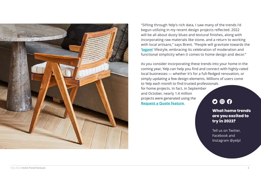

"Sifting through Yelp's rich data, I saw many of the trends I'd begun utilizing in my recent design projects reflected. 2022 will be all about dusty blues and textural finishes, along with incorporating raw materials like stone, and a return to working with local artisans," says Brent. "People will gravitate towards the '**[lagom](https://scandification.com/what-is-lagom-the-meaning-of-swedish-lagom/)**' lifestyle, embracing its celebration of moderation and functional simplicity when it comes to home design and decor."

As you consider incorporating these trends into your home in the coming year, Yelp can help you find and connect with highly-rated local businesses — whether it's for a full-fledged renovation, or simply updating a few design elements. Millions of users come to Yelp each month to find trusted professionals for home projects. In fact, in September and October, nearly 1.4 million projects were generated using the **[Request a Quote feature](https://blog.yelp.com/news/yelp-reinvents-the-hiring-experience-for-home-and-local-services/)**.

 $\mathbf{O} \circledcirc \mathbf{O}$ 

**What home trends are you excited to try in 2022?**

Tell us on Twitter, Facebook and Instagram @yelp!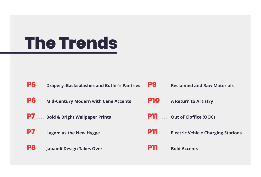# <span id="page-3-0"></span>**The Trends**

| <b>P5</b>                                          | <b>P9</b>                                 |
|----------------------------------------------------|-------------------------------------------|
| <b>Drapery, Backsplashes and Butler's Pantries</b> | <b>Reclaimed and Raw Materials</b>        |
| P6                                                 | <b>P10</b>                                |
| <b>Mid-Century Modern with Cane Accents</b>        | <b>A Return to Artistry</b>               |
| <b>P7</b>                                          | P11 -                                     |
| <b>Bold &amp; Bright Wallpaper Prints</b>          | <b>Out of Cloffice (OOC)</b>              |
| <b>P7</b>                                          | P11                                       |
| Lagom as the New Hygge                             | <b>Electric Vehicle Charging Stations</b> |
| P <sub>8</sub><br>Japandi Design Takes Over        | <b>Bold Accents</b>                       |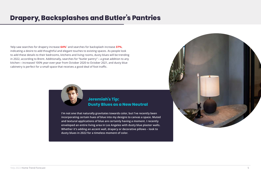## <span id="page-4-0"></span>**Drapery, Backsplashes and Butler's Pantries**

Yelp saw searches for drapery increase **64%**\* and searches for backsplash increase **37%**, indicating a desire to add thoughtful and elegant touches to existing spaces. As people look to add these details to their bedrooms, kitchens and living rooms, dusty blues will be trending in 2022, according to Brent. Additionally, searches for "butler pantry" **–** a great addition to any kitchen **–** increased 100% year-over-year from October 2020 to October 2021, and dusty blue cabinetry is perfect for a small space that receives a good deal of foot traffic.



### **Jeremiah's Tip: Dusty Blues as a New Neutral**

**I'm not one that naturally gravitates towards color, but I've recently been incorporating certain hues of blue into my designs to canvas a space. Muted and textural applications of blue are certainly having a moment. I recently enveloped an entire living area in Los Angeles with dusty blue plaster walls. Whether it's adding an accent wall, drapery or decorative pillows – look to dusty blues in 2022 for a timeless moment of color.**

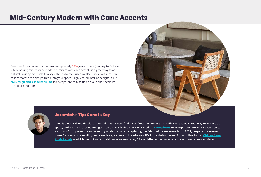## <span id="page-5-0"></span>**Mid-Century Modern with Cane Accents**

Searches for mid-century modern are up nearly **50%** year-to-date (January to October 2021). Adding mid-century modern furniture with cane accents is a great way to add natural, inviting materials to a style that's characterized by sleek lines. Not sure how to incorporate this design trend into your space? Highly-rated interior designers like **[NZ Design and Associates Inc.](https://www.instagram.com/p/CV-ql9_pDkS/?utm_source=ig_web_copy_link)** in Chicago, are easy to find on Yelp and specialize in modern interiors.





#### **Jeremiah's Tip: Cane is Key**

**Cane is a natural and timeless material that I always find myself reaching for. It's incredibly versatile, a great way to warm up a space, and has been around for ages. You can easily find vintage or modern [cane pieces]( https://www.instagram.com/p/CV-ql9_pDkS/?utm_source=ig_web_copy_link) to incorporate into your space. You can also transform pieces like mid-century modern chairs by replacing the fabric with cane material. In 2022, I expect to see even more focus on sustainability, and cane is a great way to breathe new life into existing pieces. Artisans like Paul at [Citizen Cane](https://www.yelp.com/biz/citizen-cane-chair-repair-westminster-3)  [Chair Repair](https://www.yelp.com/biz/citizen-cane-chair-repair-westminster-3) — which has 4.5 stars on Yelp — in Westminster, CA specialize in the material and even create custom pieces.**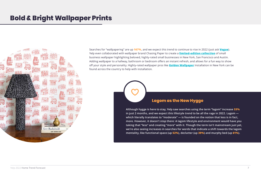## <span id="page-6-0"></span>**Bold & Bright Wallpaper Prints**



Searches for "wallpapering" are up **167%**, and we expect this trend to continue to rise in 2022 (just ask **[Vogue](https://www.vogue.com/article/how-to-use-wallpaper-and-what-to-buy-expert-tips)**). Yelp even collaborated with wallpaper brand Chasing Paper to create a **[limited-edition collection](https://blog.yelp.com/news/yelp-launches-limited-edition-wallpaper/?_thumbnail_id=771259)** of small business wallpaper highlighting beloved, highly-rated small businesses in New York, San Francisco and Austin. Adding wallpaper to a hallway, bathroom or bedroom offers an instant refresh, and allows for a fun way to show off your style and personality. Highly-rated wallpaper pros like **[Golden Wallpaper](https://www.yelp.com/biz/golden-wallpaper-installation-paterson-2?uid=qa_z2IbZ1jXw9OQhnoPDkw&utm_campaign=www_business_share_popup&utm_medium=copy_link&utm_source=(direct))** Installation in New York can be found across the country to help with installation.



#### **Lagom as the New Hygge**

**Although hygge is here to stay, Yelp saw searches using the term "lagom" increase 33% in just 2 months, and we expect this lifestyle trend to be all the rage in 2022. Lagom which literally translates to "moderate" — is founded on the notion that less is in fact, more. However, it doesn't stop there: A lagom lifestyle and environment would have you taking that "less" and creating "more" with it. Though the term isn't mainstream just yet, we're also seeing increases in searches for words that indicate a shift towards the lagom mentality, like functional space (up 52%), declutter (up 39%) and murphy bed (up 61%).**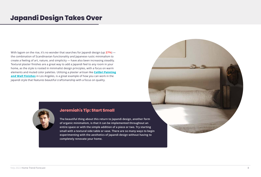## <span id="page-7-0"></span>**Japandi Design Takes Over**

With lagom on the rise, it's no wonder that searches for Japandi design (up **27%**) the combination of Scandinavian functionality and Japanese rustic minimalism to create a feeling of art, nature, and simplicity — have also been increasing steadily. Textural plaster finishes are a great way to add a Japandi feel to any room in your home, as the style is rooted in minimalist design principles, with a focus on warm elements and muted color palettes. Utilizing a plaster artisan like **[Colibri Painting](https://www.yelp.com/biz/colibri-painting-and-wall-finshes-los-angeles?osq=specialty+wall+finish)  [and Wall Finishes](https://www.yelp.com/biz/colibri-painting-and-wall-finshes-los-angeles?osq=specialty+wall+finish)** in Los Angeles, is a great example of how you can work in the Japandi style that features beautiful craftsmanship with a focus on quality.



#### **Jeremiah's Tip: Start Small**

**The beautiful thing about this return to Japandi design, another form of organic minimalism, is that it can be implemented throughout an entire space or with the simple addition of a piece or two. Try starting small with a textural side table or vase. There are so many ways to begin experimenting with the aesthetics of Japandi design without having to completely renovate your home.**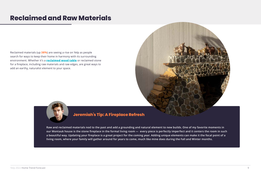## <span id="page-8-0"></span>**Reclaimed and Raw Materials**

Reclaimed materials (up **38%**) are seeing a rise on Yelp as people search for ways to keep their home in harmony with its surrounding environment. Whether it's a **[reclaimed wood table](https://www.yelp.com/biz_photos/rustic-roots-reclaimed-monroe?select=GMkNtbNTvaZyshhN_0wibA&utm_campaign=www_photo_share_popup&utm_medium=copy_link&utm_source=(direct))** or reclaimed stone for a fireplace, including raw materials and raw edges, are great ways to add an earthy, naturalist element to your space.





### **Jeremiah's Tip: A Fireplace Refresh**

**Raw and reclaimed materials nod to the past and add a grounding and natural element to new builds. One of my favorite moments in our Montauk house is the stone fireplace in the formal living room — every piece is perfectly imperfect and it centers the room in such a beautiful way. Updating your fireplace is a great project for the coming year. Adding unique elements can make it the focal point of a living room, where your family will gather around for years to come, much like mine does during the Fall and Winter months.**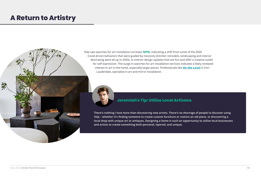## <span id="page-9-0"></span>**A Return to Artistry**





**There's nothing I love more than discovering new artists. There's no shortage of people to discover using Yelp – whether it's finding someone to create custom furniture or restore an old piece, or discovering a local shop with unique art or antiques. Designing a home is such an opportunity to utilize local businesses and artists to create something both personal, layered, and unique.** 

飛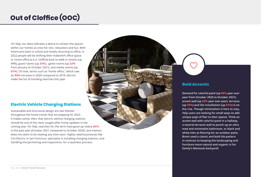## <span id="page-10-0"></span>**Out of Cloffice (OOC)**

On Yelp, our data indicates a desire to reclaim the spaces within our homes as ones for rest, relaxation and fun. With Americans back in school and slowly returning to office, in 2022 people will be shifting their makeshift office space or closet office (a.k.a. cloffice) back to walk-in closets (up 49%), guest rooms (up **33%**), game rooms (up **22%** from January to October 2021), and media rooms (up **81%**). Of note, terms such as "home office," which saw an **80%** increase in 2020 compared to 2019, did not make the list of trending searches this year.

#### **Electric Vehicle Charging Stations**

Sustainable and functional design are two themes throughout the home trends that are popping for 2022. It makes sense, then, that electric vehicle charging stations should be one of the most sought-after home updates in the coming year. On Yelp, searches for the term have gone up nearly **60%** in the past year (October 2021 compared to October 2020), and interest does not seem to be slowing any time soon. Highly-rated businesses like Coil Electric in San Francisco, specialize in installing charging stations, and handling the permitting and inspections, for a seamless process.



#### **Bold Accents**

**Demand for colorful paint (up 89% year over year from October 2020 to October 2021), accent wall (up 28% year over year), terrazzo (up 29%) and tile installation (up 81%) is on the rise. Though minimalism is here to stay, Yelp users are looking for small ways to add unique pops of flair to their spaces. Think an accent wall with colorful paint in a hallway, a neutral terrazzo wall to punch up an ultra mod and minimalist bathroom, or black and white tiles as flooring for an outdoor patio. Brent used a classic and bold tile pattern in contrast to keeping the landscaping and furniture more natural and organic in his family's Montauk backyard!**